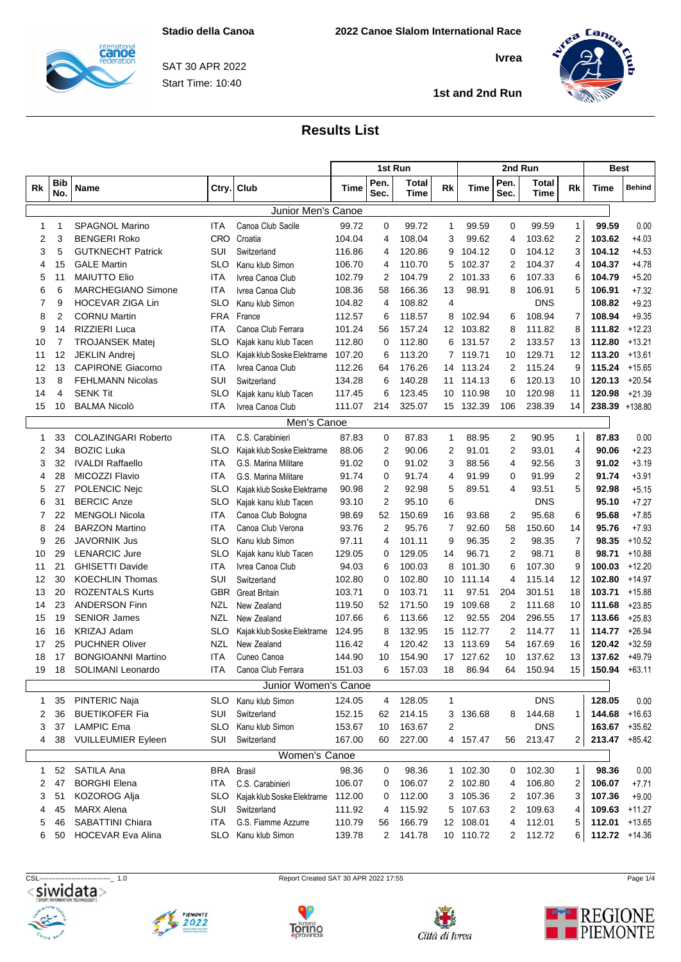international



**1st and 2nd Run**

## **Results List**

|              |                   |                            |            |                             |             | 1st Run        |               |                 |           | 2nd Run        | <b>Best</b>   |                |                  |               |
|--------------|-------------------|----------------------------|------------|-----------------------------|-------------|----------------|---------------|-----------------|-----------|----------------|---------------|----------------|------------------|---------------|
| Rk           | <b>Bib</b><br>No. | Name                       | Ctry.      | Club                        | <b>Time</b> | Pen.<br>Sec.   | Total<br>Time | Rk              | Time      | Pen.<br>Sec.   | Total<br>Time | Rk             | Time             | <b>Behind</b> |
|              |                   |                            |            | Junior Men's Canoe          |             |                |               |                 |           |                |               |                |                  |               |
| 1            | -1                | <b>SPAGNOL Marino</b>      | <b>ITA</b> | Canoa Club Sacile           | 99.72       | $\mathbf 0$    | 99.72         | -1              | 99.59     | 0              | 99.59         | $\mathbf{1}$   | 99.59            | 0.00          |
| 2            | 3                 | <b>BENGERI Roko</b>        | <b>CRO</b> | Croatia                     | 104.04      | $\overline{4}$ | 108.04        | 3               | 99.62     | 4              | 103.62        | 2              | 103.62           | $+4.03$       |
| 3            | 5                 | <b>GUTKNECHT Patrick</b>   | SUI        | Switzerland                 | 116.86      | 4              | 120.86        | 9               | 104.12    | 0              | 104.12        | 3              | 104.12           | $+4.53$       |
| 4            | 15                | <b>GALE Martin</b>         | <b>SLO</b> | Kanu klub Simon             | 106.70      | $\overline{4}$ | 110.70        | 5               | 102.37    | 2              | 104.37        | 4              | 104.37           | $+4.78$       |
| 5            | 11                | <b>MAIUTTO Elio</b>        | <b>ITA</b> | Ivrea Canoa Club            | 102.79      | $\overline{2}$ | 104.79        | $\overline{2}$  | 101.33    | 6              | 107.33        | 6              | 104.79           | $+5.20$       |
| 6            | 6                 | MARCHEGIANO Simone         | ITA        | Ivrea Canoa Club            | 108.36      | 58             | 166.36        | 13              | 98.91     | 8              | 106.91        | 5              | 106.91           | $+7.32$       |
| 7            | 9                 | <b>HOCEVAR ZIGA Lin</b>    | <b>SLO</b> | Kanu klub Simon             | 104.82      | 4              | 108.82        | 4               |           |                | <b>DNS</b>    |                | 108.82           | $+9.23$       |
| 8            | 2                 | <b>CORNU Martin</b>        | FRA        | France                      | 112.57      | 6              | 118.57        | 8               | 102.94    | 6              | 108.94        | 7              | 108.94           | $+9.35$       |
| 9            | 14                | RIZZIERI Luca              | ITA        | Canoa Club Ferrara          | 101.24      | 56             | 157.24        |                 | 12 103.82 | 8              | 111.82        | 8              | 111.82           | $+12.23$      |
| 10           | 7                 | <b>TROJANSEK Matej</b>     | <b>SLO</b> | Kajak kanu klub Tacen       | 112.80      | 0              | 112.80        | 6               | 131.57    | 2              | 133.57        | 13             | 112.80           | $+13.21$      |
| 11           | 12                | <b>JEKLIN Andrej</b>       | <b>SLO</b> | Kajak klub Soske Elektrarne | 107.20      | 6              | 113.20        |                 | 7 119.71  | 10             | 129.71        | 12             | 113.20           | $+13.61$      |
| 12           | 13                | <b>CAPIRONE Giacomo</b>    | <b>ITA</b> | Ivrea Canoa Club            | 112.26      | 64             | 176.26        |                 | 14 113.24 | $\overline{2}$ | 115.24        | 9              | 115.24           | $+15.65$      |
| 13           | 8                 | <b>FEHLMANN Nicolas</b>    | SUI        | Switzerland                 | 134.28      | 6              | 140.28        |                 | 11 114.13 | 6              | 120.13        | 10             | 120.13           | $+20.54$      |
| 14           | 4                 | <b>SENK Tit</b>            | <b>SLO</b> | Kajak kanu klub Tacen       | 117.45      | 6              | 123.45        | 10 <sup>°</sup> | 110.98    | 10             | 120.98        | 11             | 120.98           | $+21.39$      |
| 15           | 10                | <b>BALMA Nicolò</b>        | ITA.       | Ivrea Canoa Club            | 111.07      | 214            | 325.07        |                 | 15 132.39 | 106            | 238.39        | 14             | 238.39           | +138.80       |
|              |                   |                            |            | Men's Canoe                 |             |                |               |                 |           |                |               |                |                  |               |
| 1            | 33                | <b>COLAZINGARI Roberto</b> | <b>ITA</b> | C.S. Carabinieri            | 87.83       | 0              | 87.83         | -1              | 88.95     | 2              | 90.95         | $\mathbf{1}$   | 87.83            | 0.00          |
| 2            | 34                | <b>BOZIC Luka</b>          | <b>SLO</b> | Kajak klub Soske Elektrarne | 88.06       | $\overline{2}$ | 90.06         | $\overline{2}$  | 91.01     | $\overline{2}$ | 93.01         | 4              | 90.06            | $+2.23$       |
| 3            | 32                | <b>IVALDI Raffaello</b>    | <b>ITA</b> | G.S. Marina Militare        | 91.02       | $\mathbf 0$    | 91.02         | 3               | 88.56     | 4              | 92.56         | 3              | 91.02            | $+3.19$       |
| 4            | 28                | MICOZZI Flavio             | ITA        | G.S. Marina Militare        | 91.74       | 0              | 91.74         | 4               | 91.99     | $\Omega$       | 91.99         | 2              | 91.74            | $+3.91$       |
| 5            | 27                | POLENCIC Nejc              | <b>SLO</b> | Kajak klub Soske Elektrarne | 90.98       | $\overline{2}$ | 92.98         | 5               | 89.51     | 4              | 93.51         | 5              | 92.98            | $+5.15$       |
| 6            | 31                | <b>BERCIC Anze</b>         | <b>SLO</b> | Kajak kanu klub Tacen       | 93.10       | $\overline{2}$ | 95.10         | 6               |           |                | <b>DNS</b>    |                | 95.10            | $+7.27$       |
|              | 22                | <b>MENGOLI Nicola</b>      | <b>ITA</b> | Canoa Club Bologna          | 98.69       | 52             | 150.69        | 16              | 93.68     | 2              | 95.68         | 6              | 95.68            | $+7.85$       |
| 8            | 24                | <b>BARZON Martino</b>      | ITA        | Canoa Club Verona           | 93.76       | 2              | 95.76         | $\overline{7}$  | 92.60     | 58             | 150.60        | 14             | 95.76            | $+7.93$       |
| 9            | 26                | <b>JAVORNIK Jus</b>        | <b>SLO</b> | Kanu klub Simon             | 97.11       | $\overline{4}$ | 101.11        | 9               | 96.35     | 2              | 98.35         | $\overline{7}$ | 98.35            | $+10.52$      |
| 10           | 29                | <b>LENARCIC Jure</b>       | <b>SLO</b> | Kajak kanu klub Tacen       | 129.05      | 0              | 129.05        | 14              | 96.71     | $\overline{2}$ | 98.71         | 8              | 98.71            | $+10.88$      |
| 11           | 21                | <b>GHISETTI Davide</b>     | ITA        | Ivrea Canoa Club            | 94.03       | 6              | 100.03        | 8               | 101.30    | 6              | 107.30        | 9              | 100.03           | $+12.20$      |
| 12           | 30                | <b>KOECHLIN Thomas</b>     | SUI        | Switzerland                 | 102.80      | 0              | 102.80        | 10              | 111.14    | 4              | 115.14        | 12             | 102.80           | $+14.97$      |
| 13           | 20                | <b>ROZENTALS Kurts</b>     | <b>GBR</b> | <b>Great Britain</b>        | 103.71      | 0              | 103.71        | 11              | 97.51     | 204            | 301.51        | 18             | 103.71           | $+15.88$      |
| 14           | 23                | <b>ANDERSON Finn</b>       | NZL        | New Zealand                 | 119.50      | 52             | 171.50        | 19              | 109.68    | 2              | 111.68        | 10             | 111.68           | $+23.85$      |
| 15           | 19                | <b>SENIOR James</b>        | NZL        | New Zealand                 | 107.66      | 6              | 113.66        | 12              | 92.55     | 204            | 296.55        | 17             | 113.66           | $+25.83$      |
| 16           | 16                | <b>KRIZAJ Adam</b>         | <b>SLO</b> | Kajak klub Soske Elektrarne | 124.95      | 8              | 132.95        |                 | 15 112.77 | 2              | 114.77        | 11             | 114.77           | $+26.94$      |
| 17           | 25                | <b>PUCHNER Oliver</b>      | <b>NZL</b> | New Zealand                 | 116.42      | $\overline{4}$ | 120.42        | 13              | 113.69    | 54             | 167.69        | 16             | 120.42           | $+32.59$      |
| 18           | 17                | <b>BONGIOANNI Martino</b>  | <b>ITA</b> | Cuneo Canoa                 | 144.90      | 10             | 154.90        | 17              | 127.62    | 10             | 137.62        | 13             | 137.62           | $+49.79$      |
| 19           | 18                | SOLIMANI Leonardo          | ITA        | Canoa Club Ferrara          | 151.03      | 6              | 157.03        | 18              | 86.94     | 64             | 150.94        | 15             | 150.94           | $+63.11$      |
|              |                   |                            |            | Junior Women's Canoe        |             |                |               |                 |           |                |               |                |                  |               |
|              | 35<br>1           | <b>PINTERIC Naja</b>       |            | SLO Kanu klub Simon         | 124.05      |                | 4 128.05      | 1               |           |                | <b>DNS</b>    |                | 128.05           | 0.00          |
| 2            | 36                | <b>BUETIKOFER Fia</b>      | SUI        | Switzerland                 | 152.15      | 62             | 214.15        |                 | 3 136.68  |                | 8 144.68      | $\mathbf{1}$   | 144.68           | $+16.63$      |
| 3            | 37                | <b>LAMPIC Ema</b>          | SLO        | Kanu klub Simon             | 153.67      | 10             | 163.67        | $\overline{2}$  |           |                | <b>DNS</b>    |                | 163.67 +35.62    |               |
| 4            | 38                | <b>VUILLEUMIER Eyleen</b>  | SUI        | Switzerland                 | 167.00      | 60             | 227.00        |                 | 4 157.47  |                | 56 213.47     | 2              | $213.47 +85.42$  |               |
|              |                   |                            |            | Women's Canoe               |             |                |               |                 |           |                |               |                |                  |               |
|              |                   |                            |            |                             |             |                |               |                 |           |                |               |                |                  |               |
| $\mathbf{1}$ | 52                | SATILA Ana                 |            | BRA Brasil                  | 98.36       | 0              | 98.36         |                 | 1 102.30  |                | $0$ 102.30    | $\mathbf{1}$   | 98.36            | 0.00          |
|              | 47                | <b>BORGHI Elena</b>        | ITA        | C.S. Carabinieri            | 106.07      |                | 0 106.07      |                 | 2 102.80  |                | 4 106.80      | 2              | 106.07           | $+7.71$       |
|              | 51                | KOZOROG Alja               | <b>SLO</b> | Kajak klub Soske Elektrarne | 112.00      | 0              | 112.00        |                 | 3 105.36  |                | 2 107.36      | 3              | 107.36           | $+9.00$       |
| 4            | 45                | <b>MARX Alena</b>          | SUI        | Switzerland                 | 111.92      | 4              | 115.92        |                 | 5 107.63  |                | 2 109.63      | 4              | $109.63 + 11.27$ |               |
| 5            | 46                | SABATTINI Chiara           | ITA        | G.S. Fiamme Azzurre         | 110.79      | 56             | 166.79        |                 | 12 108.01 |                | 4 112.01      | 5              | $112.01 + 13.65$ |               |
| 6            | 50                | <b>HOCEVAR Eva Alina</b>   |            | SLO Kanu klub Simon         | 139.78      |                | 2 141.78      |                 | 10 110.72 |                | 2 112.72      | 6              | 112.72 +14.36    |               |









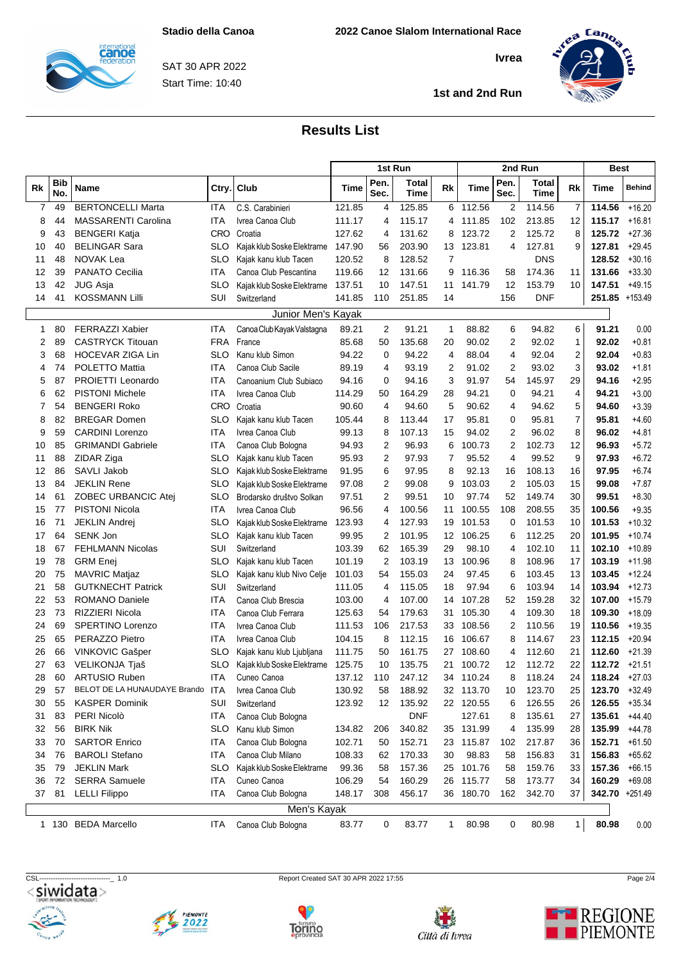international



**1st and 2nd Run**

## **Results List**

|                |            |                              |            |                             |        |                | 1st Run       |              |             |                | 2nd Run       |                  |                 | <b>Best</b>   |  |
|----------------|------------|------------------------------|------------|-----------------------------|--------|----------------|---------------|--------------|-------------|----------------|---------------|------------------|-----------------|---------------|--|
| Rk             | Bib<br>No. | Name                         | Ctry.      | Club                        | Time   | Pen.<br>Sec.   | Total<br>Time | Rk           | <b>Time</b> | Pen.<br>Sec.   | Total<br>Time | Rk               | Time            | <b>Behind</b> |  |
| $\overline{7}$ | 49         | <b>BERTONCELLI Marta</b>     | ITA        | C.S. Carabinieri            | 121.85 | $\overline{4}$ | 125.85        |              | 6 112.56    | $\overline{2}$ | 114.56        | 7                | 114.56          | $+16.20$      |  |
| 8              | 44         | <b>MASSARENTI Carolina</b>   | ITA        | Ivrea Canoa Club            | 111.17 | $\overline{4}$ | 115.17        |              | 4 111.85    | 102            | 213.85        | 12               | 115.17          | $+16.81$      |  |
| 9              | 43         | <b>BENGERI Katja</b>         | <b>CRO</b> | Croatia                     | 127.62 | 4              | 131.62        |              | 8 123.72    | $\overline{2}$ | 125.72        | 8                | 125.72          | $+27.36$      |  |
| 10             | 40         | <b>BELINGAR Sara</b>         | SLO        | Kajak klub Soske Elektrarne | 147.90 | 56             | 203.90        |              | 13 123.81   | 4              | 127.81        | 9                | 127.81          | $+29.45$      |  |
| 11             | 48         | <b>NOVAK Lea</b>             | SLO        | Kajak kanu klub Tacen       | 120.52 | 8              | 128.52        | 7            |             |                | <b>DNS</b>    |                  | 128.52          | $+30.16$      |  |
| 12             | 39         | <b>PANATO Cecilia</b>        | ITA        | Canoa Club Pescantina       | 119.66 | 12             | 131.66        | 9            | 116.36      | 58             | 174.36        | 11               | 131.66          | $+33.30$      |  |
| 13             | 42         | <b>JUG Asja</b>              | SLO        | Kajak klub Soske Elektrarne | 137.51 | 10             | 147.51        | 11           | 141.79      | 12             | 153.79        | 10               | 147.51          | $+49.15$      |  |
| 14             | 41         | <b>KOSSMANN Lilli</b>        | SUI        | Switzerland                 | 141.85 | 110            | 251.85        | 14           |             | 156            | <b>DNF</b>    |                  | 251.85 +153.49  |               |  |
|                |            |                              |            | Junior Men's Kayak          |        |                |               |              |             |                |               |                  |                 |               |  |
| 1              | 80         | <b>FERRAZZI Xabier</b>       | ITA        | Canoa Club Kayak Valstagna  | 89.21  | $\overline{2}$ | 91.21         | 1            | 88.82       | 6              | 94.82         | 6                | 91.21           | 0.00          |  |
| 2              | 89         | <b>CASTRYCK Titouan</b>      | <b>FRA</b> | France                      | 85.68  | 50             | 135.68        | 20           | 90.02       | 2              | 92.02         | 1                | 92.02           | $+0.81$       |  |
| 3              | 68         | <b>HOCEVAR ZIGA Lin</b>      | <b>SLO</b> | Kanu klub Simon             | 94.22  | $\mathbf 0$    | 94.22         | 4            | 88.04       | $\overline{4}$ | 92.04         | $\boldsymbol{2}$ | 92.04           | $+0.83$       |  |
| 4              | 74         | POLETTO Mattia               | ITA        | Canoa Club Sacile           | 89.19  | $\overline{4}$ | 93.19         | 2            | 91.02       | $\overline{2}$ | 93.02         | 3                | 93.02           | $+1.81$       |  |
| 5              | 87         | PROJETTI Leonardo            | <b>ITA</b> | Canoanium Club Subiaco      | 94.16  | $\Omega$       | 94.16         | 3            | 91.97       | 54             | 145.97        | 29               | 94.16           | $+2.95$       |  |
| 6              | 62         | <b>PISTONI Michele</b>       | ITA        | Ivrea Canoa Club            | 114.29 | 50             | 164.29        | 28           | 94.21       | 0              | 94.21         | 4                | 94.21           | $+3.00$       |  |
| 7              | 54         | <b>BENGERI Roko</b>          | <b>CRO</b> | Croatia                     | 90.60  | $\overline{4}$ | 94.60         | 5            | 90.62       | $\overline{4}$ | 94.62         | 5                | 94.60           | $+3.39$       |  |
| 8              | 82         | <b>BREGAR Domen</b>          | SLO        | Kajak kanu klub Tacen       | 105.44 | 8              | 113.44        | 17           | 95.81       | 0              | 95.81         | $\overline{7}$   | 95.81           | $+4.60$       |  |
| 9              | 59         | <b>CARDINI Lorenzo</b>       | ITA        | Ivrea Canoa Club            | 99.13  | 8              | 107.13        | 15           | 94.02       | $\overline{2}$ | 96.02         | 8                | 96.02           | $+4.81$       |  |
| 10             | 85         | <b>GRIMANDI Gabriele</b>     | <b>ITA</b> | Canoa Club Bologna          | 94.93  | 2              | 96.93         | 6            | 100.73      | 2              | 102.73        | 12               | 96.93           | $+5.72$       |  |
| 11             | 88         | ZIDAR Ziga                   | SLO        | Kajak kanu klub Tacen       | 95.93  | 2              | 97.93         | 7            | 95.52       | $\overline{4}$ | 99.52         | 9                | 97.93           | $+6.72$       |  |
| 12             | 86         | SAVLI Jakob                  | SLO        | Kajak klub Soske Elektrarne | 91.95  | 6              | 97.95         | 8            | 92.13       | 16             | 108.13        | 16               | 97.95           | $+6.74$       |  |
| 13             | 84         | <b>JEKLIN Rene</b>           | SLO        | Kajak klub Soske Elektrarne | 97.08  | $\overline{2}$ | 99.08         | 9            | 103.03      | 2              | 105.03        | 15               | 99.08           | $+7.87$       |  |
| 14             | 61         | ZOBEC URBANCIC Atej          | SLO        | Brodarsko društvo Solkan    | 97.51  | 2              | 99.51         | 10           | 97.74       | 52             | 149.74        | 30               | 99.51           | $+8.30$       |  |
| 15             | 77         | PISTONI Nicola               | ITA        | Ivrea Canoa Club            | 96.56  | 4              | 100.56        | 11           | 100.55      | 108            | 208.55        | 35               | 100.56          | $+9.35$       |  |
| 16             | 71         | <b>JEKLIN Andrei</b>         | SLO        | Kajak klub Soske Elektrarne | 123.93 | 4              | 127.93        | 19           | 101.53      | 0              | 101.53        | 10               | 101.53          | $+10.32$      |  |
| 17             | 64         | <b>SENK Jon</b>              | SLO        | Kajak kanu klub Tacen       | 99.95  | 2              | 101.95        |              | 12 106.25   | 6              | 112.25        | 20               | 101.95          | $+10.74$      |  |
| 18             | 67         | <b>FEHLMANN Nicolas</b>      | SUI        | Switzerland                 | 103.39 | 62             | 165.39        | 29           | 98.10       | 4              | 102.10        | 11               | 102.10          | $+10.89$      |  |
| 19             | 78         | <b>GRM</b> Enei              | SLO        | Kajak kanu klub Tacen       | 101.19 | 2              | 103.19        | 13           | 100.96      | 8              | 108.96        | 17               | 103.19          | $+11.98$      |  |
| 20             | 75         | <b>MAVRIC Matjaz</b>         | SLO        | Kajak kanu klub Nivo Celje  | 101.03 | 54             | 155.03        | 24           | 97.45       | 6              | 103.45        | 13               | 103.45          | $+12.24$      |  |
| 21             | 58         | <b>GUTKNECHT Patrick</b>     | SUI        | Switzerland                 | 111.05 | $\overline{4}$ | 115.05        | 18           | 97.94       | 6              | 103.94        | 14               | 103.94          | $+12.73$      |  |
| 22             | 53         | <b>ROMANO Daniele</b>        | ITA        | Canoa Club Brescia          | 103.00 | $\overline{4}$ | 107.00        | 14           | 107.28      | 52             | 159.28        | 32               | 107.00          | $+15.79$      |  |
| 23             | 73         | <b>RIZZIERI Nicola</b>       | ITA        | Canoa Club Ferrara          | 125.63 | 54             | 179.63        | 31           | 105.30      | 4              | 109.30        | 18               | 109.30          | $+18.09$      |  |
| 24             | 69         | SPERTINO Lorenzo             | ITA        | Ivrea Canoa Club            | 111.53 | 106            | 217.53        |              | 33 108.56   | 2              | 110.56        | 19               | 110.56          | $+19.35$      |  |
| 25             | 65         | PERAZZO Pietro               | ITA        | Ivrea Canoa Club            | 104.15 | 8              | 112.15        |              | 16 106.67   | 8              | 114.67        | 23               | 112.15          | $+20.94$      |  |
| 26             | 66         | VINKOVIC Gašper              | SLO        | Kajak kanu klub Ljubljana   | 111.75 | 50             | 161.75        |              | 27 108.60   | 4              | 112.60        | 21               | 112.60          | $+21.39$      |  |
| 27             | 63         | VELIKONJA Tjaš               | SLO.       | Kajak klub Soske Elektrarne | 125.75 | 10             | 135.75        |              | 21 100.72   | 12             | 112.72        | 22               | $112.72 +21.51$ |               |  |
| 28             | 60         | <b>ARTUSIO Ruben</b>         | <b>ITA</b> | Cuneo Canoa                 | 137.12 | 110            | 247.12        |              | 34 110.24   | 8              | 118.24        | 24               | 118.24          | $+27.03$      |  |
| 29             | 57         | BELOT DE LA HUNAUDAYE Brando | ITA        | Ivrea Canoa Club            | 130.92 | 58             | 188.92        |              | 32 113.70   | 10             | 123.70        | 25               | 123.70 +32.49   |               |  |
| 30             | 55         | <b>KASPER Dominik</b>        | SUI        | Switzerland                 | 123.92 | 12             | 135.92        |              | 22 120.55   | 6              | 126.55        | 26               | 126.55 +35.34   |               |  |
| 31             | 83         | PERI Nicolò                  | ITA        | Canoa Club Bologna          |        |                | <b>DNF</b>    |              | 127.61      | 8              | 135.61        | 27               | 135.61 +44.40   |               |  |
| 32             | 56         | <b>BIRK Nik</b>              | SLO.       | Kanu klub Simon             | 134.82 | 206            | 340.82        |              | 35 131.99   | 4              | 135.99        | 28               | 135.99 +44.78   |               |  |
| 33             | 70         | <b>SARTOR Enrico</b>         | ITA        | Canoa Club Bologna          | 102.71 | 50             | 152.71        |              | 23 115.87   | 102            | 217.87        | 36               | 152.71          | $+61.50$      |  |
| 34             | 76         | <b>BAROLI Stefano</b>        | <b>ITA</b> | Canoa Club Milano           | 108.33 | 62             | 170.33        | 30           | 98.83       | 58             | 156.83        | 31               | 156.83 +65.62   |               |  |
| 35             | 79         | <b>JEKLIN Mark</b>           | SLO        | Kajak klub Soske Elektrarne | 99.36  | 58             | 157.36        |              | 25 101.76   | 58             | 159.76        | 33               | 157.36 +66.15   |               |  |
| 36             | 72         | <b>SERRA Samuele</b>         | ITA        | Cuneo Canoa                 | 106.29 | 54             | 160.29        |              | 26 115.77   | 58             | 173.77        | 34               | 160.29          | +69.08        |  |
| 37             | 81         | <b>LELLI Filippo</b>         | ITA        | Canoa Club Bologna          | 148.17 | 308            | 456.17        |              | 36 180.70   | 162            | 342.70        | 37               | 342.70 +251.49  |               |  |
|                |            |                              |            | Men's Kayak                 |        |                |               |              |             |                |               |                  |                 |               |  |
|                |            | 1 130 BEDA Marcello          | ITA.       | Canoa Club Bologna          | 83.77  | 0              | 83.77         | $\mathbf{1}$ | 80.98       | 0              | 80.98         | 1                | 80.98           | 0.00          |  |









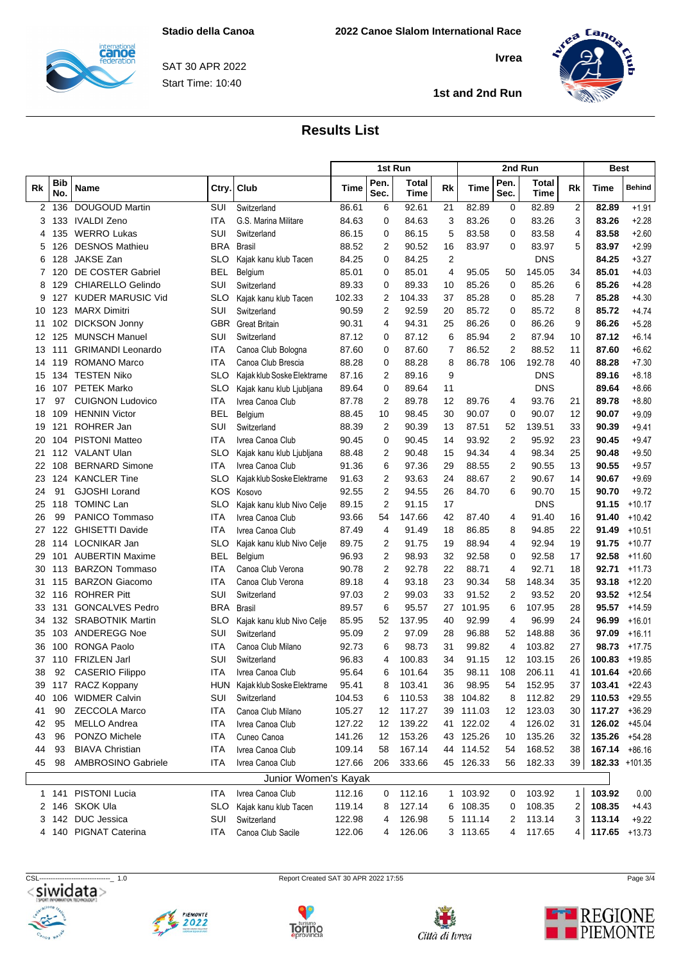international



**1st and 2nd Run**

## **Results List**

|    |            |                           |            |                                 |        |                | 1st Run       |                |           | 2nd Run        |               |                | Best             |               |  |
|----|------------|---------------------------|------------|---------------------------------|--------|----------------|---------------|----------------|-----------|----------------|---------------|----------------|------------------|---------------|--|
| Rk | Bib<br>No. | Name                      | Ctry.      | Club                            | Time   | Pen.<br>Sec.   | Total<br>Time | Rk             | Time      | Pen.<br>Sec.   | Total<br>Time | Rk             | Time             | <b>Behind</b> |  |
| 2  | 136        | <b>DOUGOUD Martin</b>     | SUI        | Switzerland                     | 86.61  | 6              | 92.61         | 21             | 82.89     | 0              | 82.89         | 2              | 82.89            | $+1.91$       |  |
| 3  | 133        | IVALDI Zeno               | ITA        | G.S. Marina Militare            | 84.63  | 0              | 84.63         | 3              | 83.26     | 0              | 83.26         | 3              | 83.26            | $+2.28$       |  |
| 4  | 35         | <b>WERRO Lukas</b>        | SUI        | Switzerland                     | 86.15  | 0              | 86.15         | 5              | 83.58     | 0              | 83.58         | $\overline{4}$ | 83.58            | $+2.60$       |  |
| 5  | 26         | <b>DESNOS Mathieu</b>     | BRA        | Brasil                          | 88.52  | 2              | 90.52         | 16             | 83.97     | 0              | 83.97         | 5              | 83.97            | $+2.99$       |  |
| 6  | 28         | JAKSE Zan                 | SLO        | Kajak kanu klub Tacen           | 84.25  | 0              | 84.25         | $\overline{2}$ |           |                | <b>DNS</b>    |                | 84.25            | $+3.27$       |  |
| 7  | 20         | DE COSTER Gabriel         | BEL        | Belgium                         | 85.01  | 0              | 85.01         | 4              | 95.05     | 50             | 145.05        | 34             | 85.01            | $+4.03$       |  |
| 8  | 29         | <b>CHIARELLO Gelindo</b>  | SUI        | Switzerland                     | 89.33  | 0              | 89.33         | 10             | 85.26     | 0              | 85.26         | 6              | 85.26            | $+4.28$       |  |
| 9  | 27         | <b>KUDER MARUSIC Vid</b>  | SLO        | Kajak kanu klub Tacen           | 102.33 | 2              | 104.33        | 37             | 85.28     | 0              | 85.28         | $\overline{7}$ | 85.28            | $+4.30$       |  |
| 10 | 23         | <b>MARX Dimitri</b>       | SUI        | Switzerland                     | 90.59  | 2              | 92.59         | 20             | 85.72     | 0              | 85.72         | 8              | 85.72            | $+4.74$       |  |
| 11 | 102        | <b>DICKSON Jonny</b>      | GBR        | <b>Great Britain</b>            | 90.31  | 4              | 94.31         | 25             | 86.26     | 0              | 86.26         | 9              | 86.26            | $+5.28$       |  |
| 12 | 25         | <b>MUNSCH Manuel</b>      | SUI        | Switzerland                     | 87.12  | 0              | 87.12         | 6              | 85.94     | $\overline{2}$ | 87.94         | 10             | 87.12            | $+6.14$       |  |
| 13 | 11         | <b>GRIMANDI Leonardo</b>  | ITA        | Canoa Club Bologna              | 87.60  | 0              | 87.60         | 7              | 86.52     | $\overline{2}$ | 88.52         | 11             | 87.60            | $+6.62$       |  |
| 14 | 19         | <b>ROMANO Marco</b>       | ITA        | Canoa Club Brescia              | 88.28  | 0              | 88.28         | 8              | 86.78     | 106            | 192.78        | 40             | 88.28            | $+7.30$       |  |
| 15 | 34         | <b>TESTEN Niko</b>        | SLO        | Kajak klub Soske Elektrarne     | 87.16  | 2              | 89.16         | 9              |           |                | <b>DNS</b>    |                | 89.16            | $+8.18$       |  |
| 16 | 07         | <b>PETEK Marko</b>        | SLO        | Kajak kanu klub Ljubljana       | 89.64  | 0              | 89.64         | 11             |           |                | <b>DNS</b>    |                | 89.64            | $+8.66$       |  |
| 17 | 97         | <b>CUIGNON Ludovico</b>   | ITA        | Ivrea Canoa Club                | 87.78  | $\overline{2}$ | 89.78         | 12             | 89.76     | 4              | 93.76         | 21             | 89.78            | $+8.80$       |  |
| 18 | 09         | <b>HENNIN Victor</b>      | BEL        | Belgium                         | 88.45  | 10             | 98.45         | 30             | 90.07     | 0              | 90.07         | 12             | 90.07            | $+9.09$       |  |
| 19 | 21         | <b>ROHRER Jan</b>         | SUI        | Switzerland                     | 88.39  | $\overline{2}$ | 90.39         | 13             | 87.51     | 52             | 139.51        | 33             | 90.39            | $+9.41$       |  |
| 20 | 04         | <b>PISTONI Matteo</b>     | ITA        | Ivrea Canoa Club                | 90.45  | $\mathbf 0$    | 90.45         | 14             | 93.92     | 2              | 95.92         | 23             | 90.45            | $+9.47$       |  |
| 21 | 12         | <b>VALANT Ulan</b>        | SLO        | Kajak kanu klub Ljubljana       | 88.48  | 2              | 90.48         | 15             | 94.34     | 4              | 98.34         | 25             | 90.48            | $+9.50$       |  |
| 22 | 08         | <b>BERNARD Simone</b>     | ITA        | Ivrea Canoa Club                | 91.36  | 6              | 97.36         | 29             | 88.55     | 2              | 90.55         | 13             | 90.55            | $+9.57$       |  |
| 23 | 24         | <b>KANCLER Tine</b>       | SLO        | Kajak klub Soske Elektrarne     | 91.63  | 2              | 93.63         | 24             | 88.67     | 2              | 90.67         | 14             | 90.67            | $+9.69$       |  |
| 24 | 91         | <b>GJOSHI Lorand</b>      | KOS        | Kosovo                          | 92.55  | $\overline{2}$ | 94.55         | 26             | 84.70     | 6              | 90.70         | 15             | 90.70            | $+9.72$       |  |
| 25 | 18<br>1    | <b>TOMINC Lan</b>         | SLO        | Kajak kanu klub Nivo Celje      | 89.15  | $\overline{2}$ | 91.15         | 17             |           |                | <b>DNS</b>    |                | 91.15            | $+10.17$      |  |
| 26 | 99         | <b>PANICO Tommaso</b>     | ITA        | Ivrea Canoa Club                | 93.66  | 54             | 147.66        | 42             | 87.40     | 4              | 91.40         | 16             | 91.40            | $+10.42$      |  |
| 27 | 22         | <b>GHISETTI Davide</b>    | ITA        | Ivrea Canoa Club                | 87.49  | 4              | 91.49         | 18             | 86.85     | 8              | 94.85         | 22             | 91.49            | $+10.51$      |  |
| 28 | 114        | LOCNIKAR Jan              | <b>SLO</b> | Kajak kanu klub Nivo Celje      | 89.75  | 2              | 91.75         | 19             | 88.94     | $\overline{4}$ | 92.94         | 19             | 91.75            | $+10.77$      |  |
| 29 | 01         | <b>AUBERTIN Maxime</b>    | BEL        | Belgium                         | 96.93  | 2              | 98.93         | 32             | 92.58     | 0              | 92.58         | 17             | 92.58            | $+11.60$      |  |
| 30 | 113        | <b>BARZON Tommaso</b>     | ITA        | Canoa Club Verona               | 90.78  | 2              | 92.78         | 22             | 88.71     | $\overline{4}$ | 92.71         | 18             | 92.71            | $+11.73$      |  |
| 31 | 115        | <b>BARZON Giacomo</b>     | ITA        | Canoa Club Verona               | 89.18  | 4              | 93.18         | 23             | 90.34     | 58             | 148.34        | 35             | 93.18            | $+12.20$      |  |
| 32 | 16         | <b>ROHRER Pitt</b>        | SUI        | Switzerland                     | 97.03  | 2              | 99.03         | 33             | 91.52     | 2              | 93.52         | 20             | 93.52            | $+12.54$      |  |
| 33 | 31         | <b>GONCALVES Pedro</b>    | BRA        | Brasil                          | 89.57  | 6              | 95.57         | 27             | 101.95    | 6              | 107.95        | 28             | 95.57            | $+14.59$      |  |
| 34 | 32         | <b>SRABOTNIK Martin</b>   | SLO        | Kajak kanu klub Nivo Celje      | 85.95  | 52             | 137.95        | 40             | 92.99     | $\overline{4}$ | 96.99         | 24             | 96.99            | $+16.01$      |  |
| 35 | 103        | <b>ANDEREGG Noe</b>       | SUI        | Switzerland                     | 95.09  | 2              | 97.09         | 28             | 96.88     | 52             | 148.88        | 36             | 97.09            | $+16.11$      |  |
| 36 | 100        | <b>RONGA Paolo</b>        | ITA        | Canoa Club Milano               | 92.73  | 6              | 98.73         | 31             | 99.82     | 4              | 103.82        | 27             | 98.73            | $+17.75$      |  |
| 37 |            | 110 FRIZLEN Jarl          | SUI        | Switzerland                     | 96.83  | 4              | 100.83        | 34             | 91.15     | 12             | 103.15        | 26             | 100.83           | $+19.85$      |  |
| 38 | 92         | <b>CASERIO Filippo</b>    | ITA        | Ivrea Canoa Club                | 95.64  | 6              | 101.64        | 35             | 98.11     | 108            | 206.11        | 41             | 101.64           | $+20.66$      |  |
|    |            | 39 117 RACZ Koppany       |            | HUN Kajak klub Soske Elektrarne | 95.41  | 8              | 103.41        | 36             | 98.95     | 54             | 152.95        | 37             | $103.41 +22.43$  |               |  |
| 40 | 106        | <b>WIDMER Calvin</b>      | SUI        | Switzerland                     | 104.53 | 6              | 110.53        |                | 38 104.82 | 8              | 112.82        | 29             | $110.53 + 29.55$ |               |  |
| 41 | 90         | ZECCOLA Marco             | ITA        | Canoa Club Milano               | 105.27 | 12             | 117.27        |                | 39 111.03 | 12             | 123.03        | 30             | $117.27 + 36.29$ |               |  |
| 42 | 95         | <b>MELLO Andrea</b>       | ITA        | Ivrea Canoa Club                | 127.22 | 12             | 139.22        |                | 41 122.02 | 4              | 126.02        | 31             | 126.02 +45.04    |               |  |
| 43 | 96         | PONZO Michele             | ITA        | Cuneo Canoa                     | 141.26 | 12             | 153.26        |                | 43 125.26 | 10             | 135.26        | 32             | 135.26 +54.28    |               |  |
| 44 | 93         | <b>BIAVA Christian</b>    | ITA        | Ivrea Canoa Club                | 109.14 | 58             | 167.14        |                | 44 114.52 | 54             | 168.52        | 38             | $167.14 +86.16$  |               |  |
| 45 | 98         | <b>AMBROSINO Gabriele</b> | ITA.       | Ivrea Canoa Club                | 127.66 | 206            | 333.66        |                | 45 126.33 | 56             | 182.33        | 39             | 182.33 +101.35   |               |  |
|    |            |                           |            | Junior Women's Kayak            |        |                |               |                |           |                |               |                |                  |               |  |
|    |            | 1 141 PISTONI Lucia       | ITA.       | Ivrea Canoa Club                | 112.16 |                | $0$ 112.16    |                | 1 103.92  |                | 0 103.92      | $\mathbf{1}$   | 103.92           | 0.00          |  |
|    |            | 2 146 SKOK Ula            |            | SLO Kajak kanu klub Tacen       | 119.14 | 8              | 127.14        |                | 6 108.35  |                | 0 108.35      | 2              | 108.35           | $+4.43$       |  |
|    | 3 142      | <b>DUC Jessica</b>        | SUI        | Switzerland                     | 122.98 | 4              | 126.98        |                | 5 111.14  |                | 2 113.14      | 3              | 113.14           | $+9.22$       |  |
|    |            | 4 140 PIGNAT Caterina     | ITA        | Canoa Club Sacile               | 122.06 |                | 4 126.06      |                | 3 113.65  |                | 4 117.65      | 4              | $117.65 + 13.73$ |               |  |